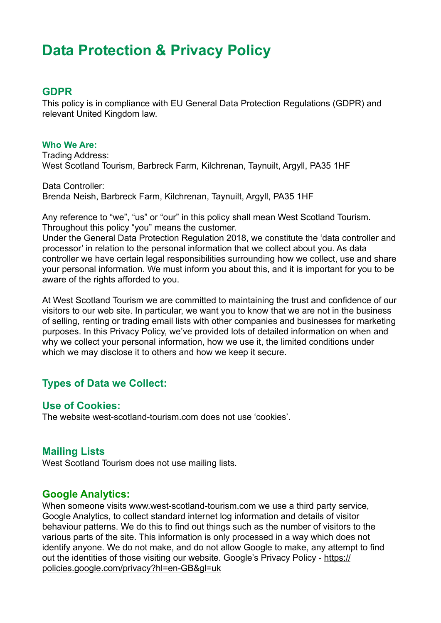# **Data Protection & Privacy Policy**

#### **GDPR**

This policy is in compliance with EU General Data Protection Regulations (GDPR) and relevant United Kingdom law.

**Who We Are:**  Trading Address: West Scotland Tourism, Barbreck Farm, Kilchrenan, Taynuilt, Argyll, PA35 1HF

Data Controller: Brenda Neish, Barbreck Farm, Kilchrenan, Taynuilt, Argyll, PA35 1HF

Any reference to "we", "us" or "our" in this policy shall mean West Scotland Tourism. Throughout this policy "you" means the customer.

Under the General Data Protection Regulation 2018, we constitute the 'data controller and processor' in relation to the personal information that we collect about you. As data controller we have certain legal responsibilities surrounding how we collect, use and share your personal information. We must inform you about this, and it is important for you to be aware of the rights afforded to you.

At West Scotland Tourism we are committed to maintaining the trust and confidence of our visitors to our web site. In particular, we want you to know that we are not in the business of selling, renting or trading email lists with other companies and businesses for marketing purposes. In this Privacy Policy, we've provided lots of detailed information on when and why we collect your personal information, how we use it, the limited conditions under which we may disclose it to others and how we keep it secure.

# **Types of Data we Collect:**

#### **Use of Cookies:**

The website west-scotland-tourism.com does not use 'cookies'.

#### **Mailing Lists**

West Scotland Tourism does not use mailing lists.

#### **Google Analytics:**

When someone visits www.west-scotland-tourism.com we use a third party service, Google Analytics, to collect standard internet log information and details of visitor behaviour patterns. We do this to find out things such as the number of visitors to the various parts of the site. This information is only processed in a way which does not identify anyone. We do not make, and do not allow Google to make, any attempt to find [out the identities of those visiting our website. Google's Privacy Policy - https://](https://policies.google.com/privacy?hl=en-GB&gl=uk) policies.google.com/privacy?hl=en-GB&gl=uk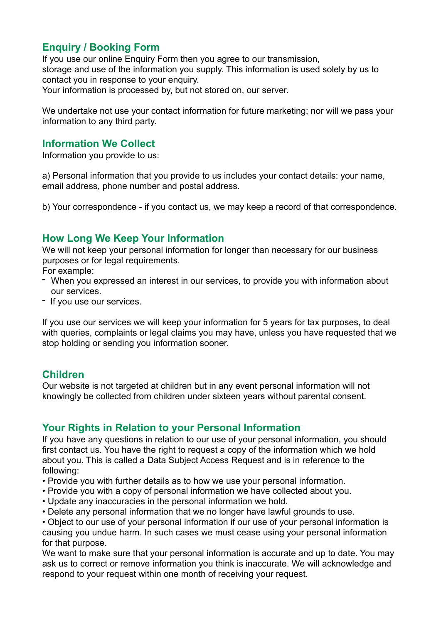# **Enquiry / Booking Form**

If you use our online Enquiry Form then you agree to our transmission, storage and use of the information you supply. This information is used solely by us to contact you in response to your enquiry.

Your information is processed by, but not stored on, our server.

We undertake not use your contact information for future marketing; nor will we pass your information to any third party.

#### **Information We Collect**

Information you provide to us:

a) Personal information that you provide to us includes your contact details: your name, email address, phone number and postal address.

b) Your correspondence - if you contact us, we may keep a record of that correspondence.

# **How Long We Keep Your Information**

We will not keep your personal information for longer than necessary for our business purposes or for legal requirements.

For example:

- When you expressed an interest in our services, to provide you with information about our services.
- If you use our services.

If you use our services we will keep your information for 5 years for tax purposes, to deal with queries, complaints or legal claims you may have, unless you have requested that we stop holding or sending you information sooner.

# **Children**

Our website is not targeted at children but in any event personal information will not knowingly be collected from children under sixteen years without parental consent.

# **Your Rights in Relation to your Personal Information**

If you have any questions in relation to our use of your personal information, you should first contact us. You have the right to request a copy of the information which we hold about you. This is called a Data Subject Access Request and is in reference to the following:

- Provide you with further details as to how we use your personal information.
- Provide you with a copy of personal information we have collected about you.
- Update any inaccuracies in the personal information we hold.
- Delete any personal information that we no longer have lawful grounds to use.

• Object to our use of your personal information if our use of your personal information is causing you undue harm. In such cases we must cease using your personal information for that purpose.

We want to make sure that your personal information is accurate and up to date. You may ask us to correct or remove information you think is inaccurate. We will acknowledge and respond to your request within one month of receiving your request.